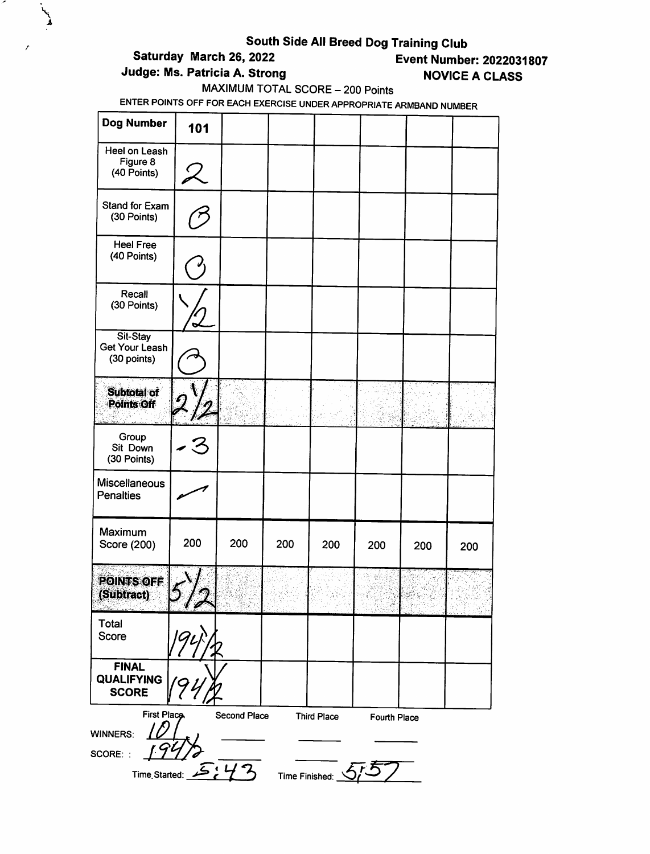# South Side All Breed Dog Training Club<br>Saturday March 26, 2022<br>Event Numbe

 $\lambda$ 

### **Event Number: 2022031807** Judge: Ms. Patricia A. Strong NOVICE A CLASS

MAXIMUM TOTAL SCORE - 200 Points

| Dog Number                                        | 101                           |              |     |                    |              |     |     |
|---------------------------------------------------|-------------------------------|--------------|-----|--------------------|--------------|-----|-----|
| Heel on Leash<br>Figure 8<br>(40 Points)          |                               |              |     |                    |              |     |     |
| Stand for Exam<br>(30 Points)                     |                               |              |     |                    |              |     |     |
| <b>Heel Free</b><br>(40 Points)                   |                               |              |     |                    |              |     |     |
| Recall<br>(30 Points)                             |                               |              |     |                    |              |     |     |
| Sit-Stay<br><b>Get Your Leash</b><br>(30 points)  |                               |              |     |                    |              |     |     |
| Subtotal of<br>Points Off                         |                               |              |     |                    |              |     |     |
| Group<br>Sit Down<br>(30 Points)                  |                               |              |     |                    |              |     |     |
| <b>Miscellaneous</b><br><b>Penalties</b>          |                               |              |     |                    |              |     |     |
| Maximum<br>Score (200)                            | 200                           | 200          | 200 | 200                | 200          | 200 | 200 |
| <b>POINTS OFF</b><br>(Subtract)                   | $\blacktriangledown$ / $\ell$ |              |     |                    |              |     |     |
| Total<br>Score                                    |                               |              |     |                    |              |     |     |
| <b>FINAL</b><br><b>QUALIFYING</b><br><b>SCORE</b> |                               |              |     |                    |              |     |     |
| <b>First Place</b><br><b>WINNERS:</b><br>SCORE: : |                               | Second Place |     | <b>Third Place</b> | Fourth Place |     |     |
| Time Started:                                     |                               | 5:42         |     | Time Finished: 5   |              |     |     |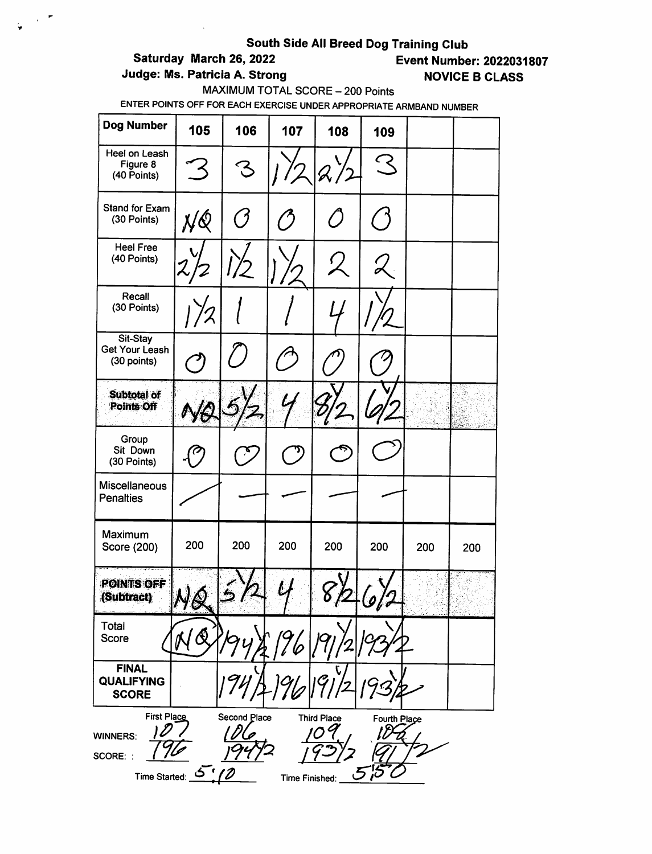# South Side All Breed Dog Training Club<br>Event Numbe = Event Numbe

 $\sim$   $\sigma$ Ç.

# **Event Number: 2022031807**

### Judge: Ms. Patricia A. Strong NOVICE B CLASS

MAXIMUM TOTAL SCORE - 200 Points

| Dog Number                                                           | 105       | 106          | 107            | 108                | 109                |     |     |
|----------------------------------------------------------------------|-----------|--------------|----------------|--------------------|--------------------|-----|-----|
| Heel on Leash<br>Figure 8<br>(40 Points)                             |           | သ            |                |                    | $\epsilon$         |     |     |
| <b>Stand for Exam</b><br>(30 Points)                                 | NQ        |              |                |                    |                    |     |     |
| <b>Heel Free</b><br>(40 Points)                                      |           |              |                |                    |                    |     |     |
| Recall<br>(30 Points)                                                |           |              |                |                    |                    |     |     |
| Sit-Stay<br><b>Get Your Leash</b><br>(30 points)                     |           |              |                |                    |                    |     |     |
| Subtotal of<br>Points Off                                            |           |              |                |                    |                    |     |     |
| Group<br>Sit Down<br>(30 Points)                                     |           |              |                |                    |                    |     |     |
| Miscellaneous<br><b>Penalties</b>                                    |           |              |                |                    |                    |     |     |
| Maximum<br>Score (200)                                               | 200       | 200          | 200            | 200                | 200                | 200 | 200 |
| <b>POINTS OFF</b><br>(Subtract)                                      | いん<br>N G |              | L.             |                    | $\mathcal{Q}$ of a |     |     |
| Total<br>Score                                                       |           |              |                |                    |                    |     |     |
| <b>FINAL</b><br><b>QUALIFYING</b><br><b>SCORE</b>                    |           |              |                |                    |                    |     |     |
| <b>First Place</b><br><b>WINNERS:</b><br>SCORE: :<br>Time Started: 0 |           | Second Place | Time Finished: | <b>Third Place</b> | Fourth Place       |     |     |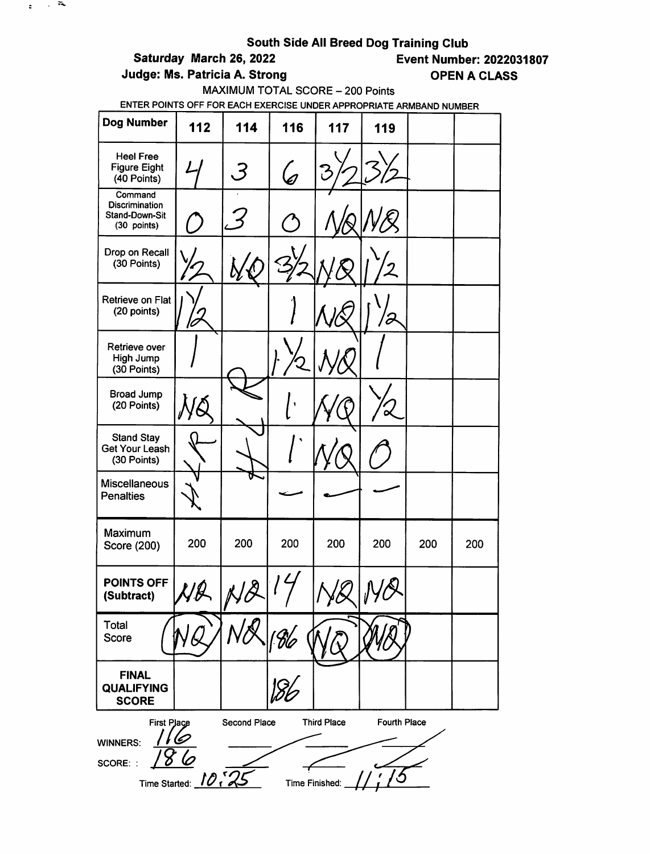# South Side All Breed Dog Training Club<br>Event Numbe = Event Numbe

 $\mathbf{r} \in \mathbb{R}^n$ 

Judge: Ms. Patricia A. Strong COPEN A CLASS

**Event Number: 2022031807** 

MAXIMUM TOTAL SCORE - 200 Points

| <b>Dog Number</b>                                                 | 112                 | 114           | 116            | 117                | 119          |     |     |
|-------------------------------------------------------------------|---------------------|---------------|----------------|--------------------|--------------|-----|-----|
| <b>Heel Free</b><br><b>Figure Eight</b><br>(40 Points)            |                     | Ë             | $\mathscr{C}$  |                    |              |     |     |
| Command<br><b>Discrimination</b><br>Stand-Down-Sit<br>(30 points) |                     |               |                |                    |              |     |     |
| Drop on Recall<br>(30 Points)                                     |                     |               |                |                    |              |     |     |
| Retrieve on Flat<br>(20 points)                                   |                     |               |                |                    |              |     |     |
| Retrieve over<br>High Jump<br>(30 Points)                         |                     |               |                |                    |              |     |     |
| <b>Broad Jump</b><br>(20 Points)                                  |                     |               |                |                    |              |     |     |
| <b>Stand Stay</b><br><b>Get Your Leash</b><br>(30 Points)         |                     |               |                |                    |              |     |     |
| Miscellaneous<br><b>Penalties</b>                                 |                     |               |                |                    |              |     |     |
| Maximum<br>Score (200)                                            | 200                 | 200           | 200            | 200                | 200          | 200 | 200 |
| POINTS OFF<br>(Subtract)                                          | l 1 Q               | $\mathcal{B}$ |                |                    |              |     |     |
| Total<br>Score                                                    |                     |               |                |                    |              |     |     |
| <b>FINAL</b><br><b>QUALIFYING</b><br><b>SCORE</b>                 |                     |               |                |                    |              |     |     |
| First Place<br><b>WINNERS:</b><br>SCORE: :                        | Time Started: 10, 2 | Second Place  | Time Finished: | <b>Third Place</b> | Fourth Place |     |     |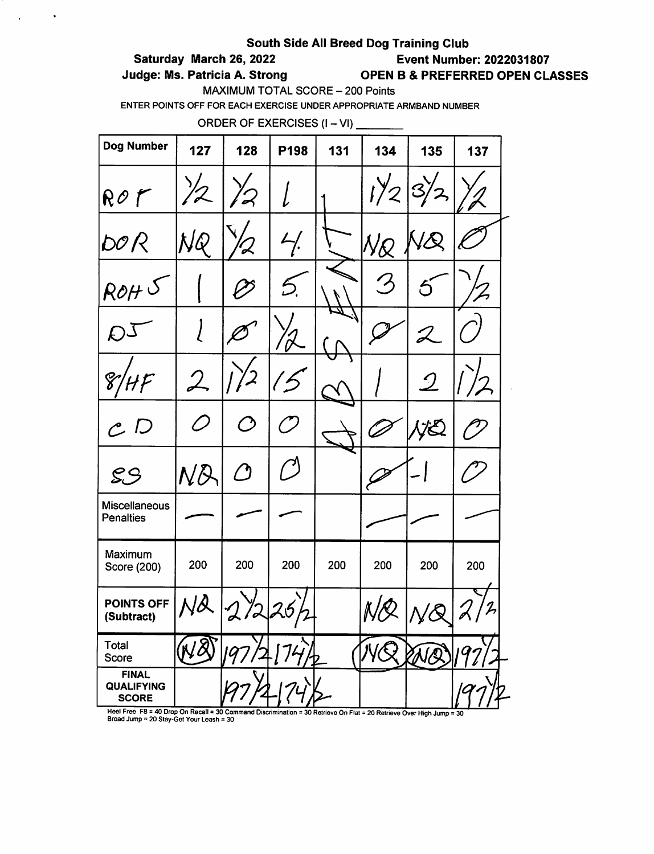### Saturday March 26, 2022 Event Number: 2022031807

 $\sim$ 

 $\sim$ 

Judge: Ms. Patricia A. Strong **OPEN B & PREFERRED OPEN CLASSES** 

MAXIMUM TOTAL SCORE - 200 Points

ENTER POINTS OFF FOR EACH EXERCISE UNDER APPROPRIATE ARMBAND NUMBER

ORDER OF EXERCISES  $(I - VI)$  \_\_\_\_\_\_\_\_

| Dog Number                                                                                                           | 127                                                       | 128                | P198                        | 131                               | 134                  | 135                         | 137            |
|----------------------------------------------------------------------------------------------------------------------|-----------------------------------------------------------|--------------------|-----------------------------|-----------------------------------|----------------------|-----------------------------|----------------|
| ROf                                                                                                                  |                                                           | $\boldsymbol{Z}$   |                             |                                   | $1\frac{1}{2}$       | $\mathcal{S}_{\mathcal{A}}$ |                |
| DO R                                                                                                                 | NQ                                                        |                    | 4/2                         |                                   | NQ                   |                             |                |
| ROH                                                                                                                  |                                                           |                    |                             |                                   | $\frac{1}{\sqrt{2}}$ |                             |                |
| D-                                                                                                                   |                                                           |                    |                             |                                   |                      |                             |                |
| 8                                                                                                                    | $\mathcal{L}% _{M_{1},M_{2}}^{\alpha,\beta}(\varepsilon)$ |                    |                             |                                   |                      | $\mathcal{Q}$               | $\overline{2}$ |
| $\cal C$ $D$                                                                                                         | O)                                                        | ( )                | $\mathcal{L}_{\mathscr{A}}$ |                                   |                      | Æ,                          |                |
| S.S                                                                                                                  | ND                                                        | $\bm{\mathcal{O}}$ | $\mathcal{L}$               |                                   |                      |                             |                |
| Miscellaneous<br><b>Penalties</b>                                                                                    |                                                           |                    |                             |                                   |                      |                             |                |
| Maximum<br>Score (200)                                                                                               | 200                                                       | 200                | 200                         | 200                               | 200                  | 200                         | 200            |
| POINTS OFF<br>(Subtract)                                                                                             |                                                           |                    | 25                          |                                   | Ņс                   | $\overline{\mathcal{R}}$    | 2,<br>v<br>V   |
| Total<br>Score                                                                                                       |                                                           |                    |                             |                                   |                      |                             |                |
| <b>FINAL</b><br><b>QUALIFYING</b><br><b>SCORE</b><br>Heel Free, $FR = 40$ Drap On Recall = 30 Command Discrimination |                                                           |                    |                             | $20$ Betrieve On First - 20 Betri |                      |                             |                |

The rise Formulation Recall = 30 Command Discrimination = 30 Retrieve On Flat = 20 Retrieve Over High Jump = 30<br>Broad Jump = 20 Stay-Get Your Leash = 30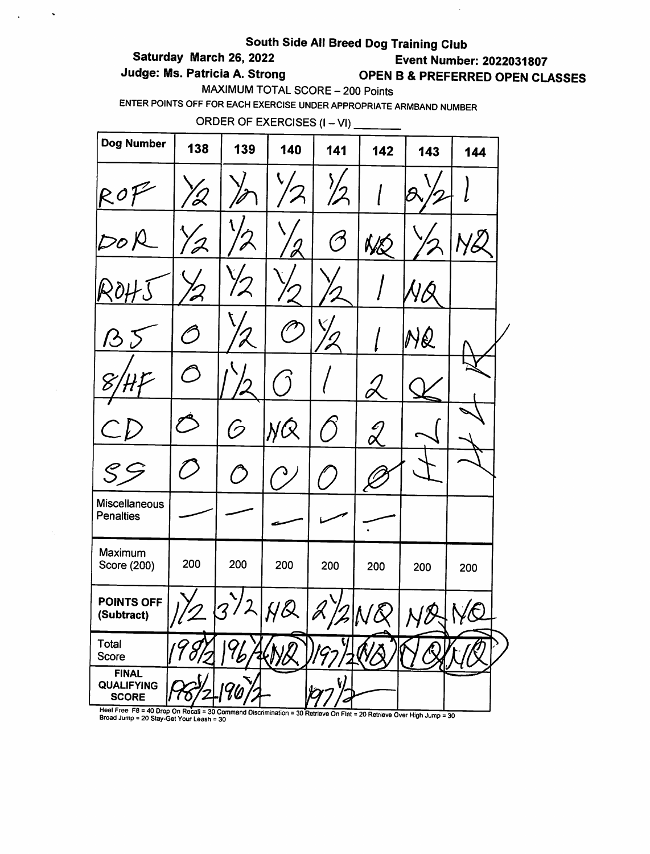# South Side All Breed Dog Training Club<br>Saturday March 26, 2022<br>Event Numbe

 $\hat{\phantom{a}}$ 

 $\ddot{\phantom{a}}$ 

**Event Number: 2022031807** Judge: Ms. Patricia A. Strong **OPEN B & PREFERRED OPEN CLASSES** 

MAXIMUM TOTAL SCORE - 200 Points

ENTER POINTS OFF FOR EACH EXERCISE UNDER APPROPRIATE ARMBAND NUMBER

ORDER OF EXERCISES (I – VI) \_\_\_\_\_\_

| Dog Number                                                                             | 138            | 139                                                       | 140 | 141           | 142                              | 143 | 144         |  |
|----------------------------------------------------------------------------------------|----------------|-----------------------------------------------------------|-----|---------------|----------------------------------|-----|-------------|--|
| ROf                                                                                    | 'Q             |                                                           |     | $\frac{1}{2}$ |                                  |     |             |  |
| $D$ o $\beta$                                                                          |                |                                                           |     | $\oslash$     | NQ                               |     |             |  |
|                                                                                        |                |                                                           |     |               |                                  |     |             |  |
| 13                                                                                     | <sup>r</sup> ) |                                                           |     |               |                                  | NQ  |             |  |
|                                                                                        |                |                                                           |     |               |                                  |     |             |  |
|                                                                                        |                | 6                                                         | NQ  |               | $\overset{\mathcal{L}}{\propto}$ |     |             |  |
|                                                                                        |                | $\mathcal{D}% _{M_{1},M_{2}}^{\alpha,\beta}(\varepsilon)$ |     |               |                                  |     |             |  |
| Miscellaneous<br>Penalties                                                             |                |                                                           |     |               |                                  |     |             |  |
| Maximum<br>Score (200)                                                                 | 200            | 200                                                       | 200 | 200           | 200                              | 200 | 200         |  |
| POINTS OFF<br>(Subtract)                                                               |                |                                                           | UQ  |               | (R)<br>k.                        | 1/2 | $\Lambda/R$ |  |
| Total<br>Score                                                                         |                |                                                           |     |               |                                  |     |             |  |
| <b>FINAL</b><br><b>QUALIFYING</b><br><b>SCORE</b><br>Heel Free $FA = 40$ Drop On Boost |                |                                                           |     |               |                                  |     |             |  |

The Formulation of the Community of Community of Community of Technical Community of Technical Community of Community of Community Community Community Community Community Community Community Community Community Community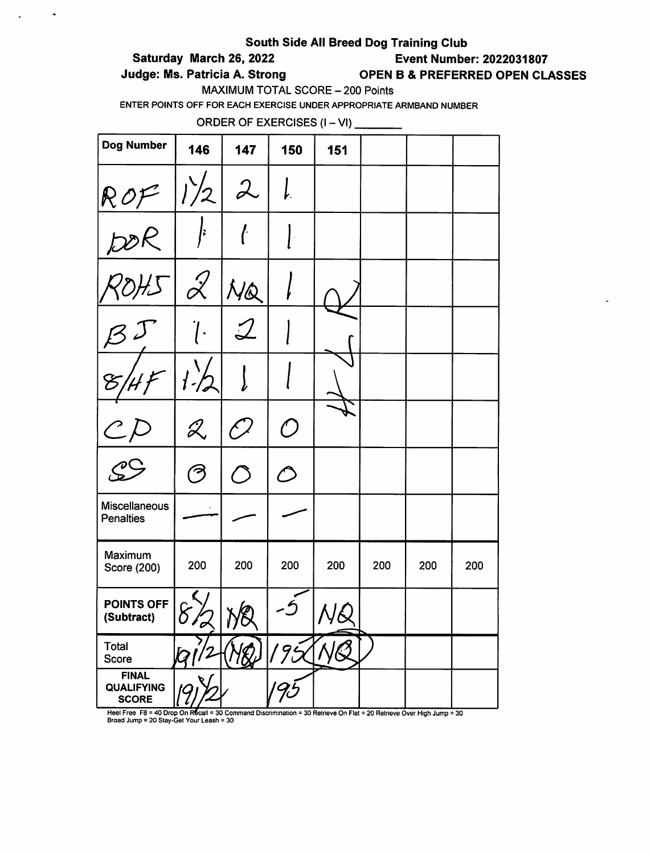### Saturday March 26, 2022 Event Number: 2022031807

 $\sim 10^{11}$   $\sim$ 

 $\mathbf{r}$ 

### Judge: Ms. Patricia A. Strong **OPEN B & PREFERRED OPEN CLASSES**

MAXIMUM TOTAL SCORE - 200 Points

ENTER POINTS OFF FOR EACH EXERCISE UNDER APPROPRIATE ARMBAND NUMBER

ORDER OF EXERCISES  $(I - VI)$  \_\_\_\_\_\_\_\_\_

| Dog Number                                        | 146                   | 147               | 150        | 151 |     |     |     |
|---------------------------------------------------|-----------------------|-------------------|------------|-----|-----|-----|-----|
|                                                   |                       |                   |            |     |     |     |     |
| ROF/2                                             |                       |                   |            |     |     |     |     |
|                                                   | $\mathcal{Z}$         | NQ                |            |     |     |     |     |
| $rac{1}{\sqrt{3}}$                                |                       |                   |            |     |     |     |     |
|                                                   |                       |                   |            |     |     |     |     |
| $\mathcal C$                                      | $\mathscr{Z}$         | $\mathcal{L}_{j}$ | $\bigcirc$ |     |     |     |     |
| $\mathcal{C}^{\mathcal{C}}$                       | $\tilde{\mathcal{C}}$ |                   |            |     |     |     |     |
| Miscellaneous<br><b>Penalties</b>                 |                       |                   |            |     |     |     |     |
| Maximum<br>Score (200)                            | 200                   | 200               | 200        | 200 | 200 | 200 | 200 |
| POINTS OFF<br>(Subtract)                          | $8\%$                 | NQ                |            | NQ  |     |     |     |
| Total<br>Score                                    |                       |                   | 195        |     |     |     |     |
| <b>FINAL</b><br><b>QUALIFYING</b><br><b>SCORE</b> |                       |                   | 'Ji        |     |     |     |     |

Heel Free F8 = 40 Drop On Recall = 30 Command Discrimination = 30 Retrieve On Flat = 20 Retrieve Over High Jump = 30<br>Broad Jump = 20 Stay-Get Your Leash = 30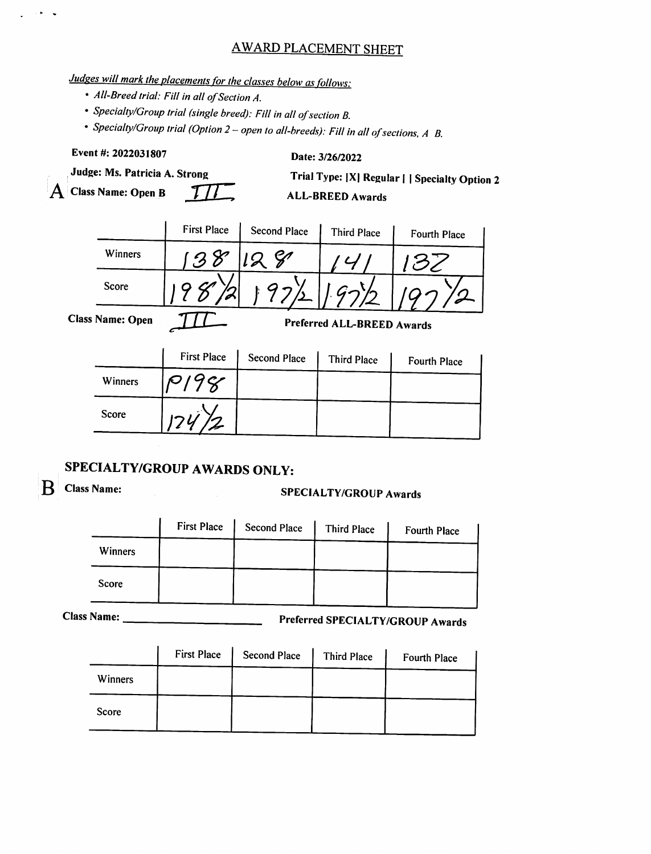## AWARD PLACEMENT SHEET

# Judges will mark the placements for the classes below as follows:

- All-Breed trial: Fill in all of Section A.
- Specialty/Group trial (single breed): Fill in all of section B.
- Specialty/Group trial (Option 2 open to all-breeds): Fill in all of sections, A B.

Event #: 2022031807 Date: 3/26/2022 Judge: Ms. Patricia A. Strong Trial Type: |X| Regular | | Specialty Option 2  $\overline{A}$  Class Name: Open B  $\overline{II}$  ALL-BREED Awards First Place Second Place Third Place Fourth Place Winners 138 128 141 132 Score <u>| 97% | 19772</u> Class Name: Open **full**<br>Preferred ALL-BREED Awards First Place Second Place Third Place Fourth Place Winners Score

## SPECIALTY/GROUP AWARDS ONLY:

 $\ddot{\phantom{a}}$ 

# $\mathbf{B}$  Class Name: SPECIALTY/GROUP Awards

|         | <b>First Place</b> | <b>Second Place</b> | Third Place | Fourth Place |
|---------|--------------------|---------------------|-------------|--------------|
| Winners |                    |                     |             |              |
| Score   |                    |                     |             |              |

Class Name: Preferred SPECIALTY/GROUP Awards

|         | <b>First Place</b> | <b>Second Place</b> | Third Place | Fourth Place |
|---------|--------------------|---------------------|-------------|--------------|
| Winners |                    |                     |             |              |
| Score   |                    |                     |             |              |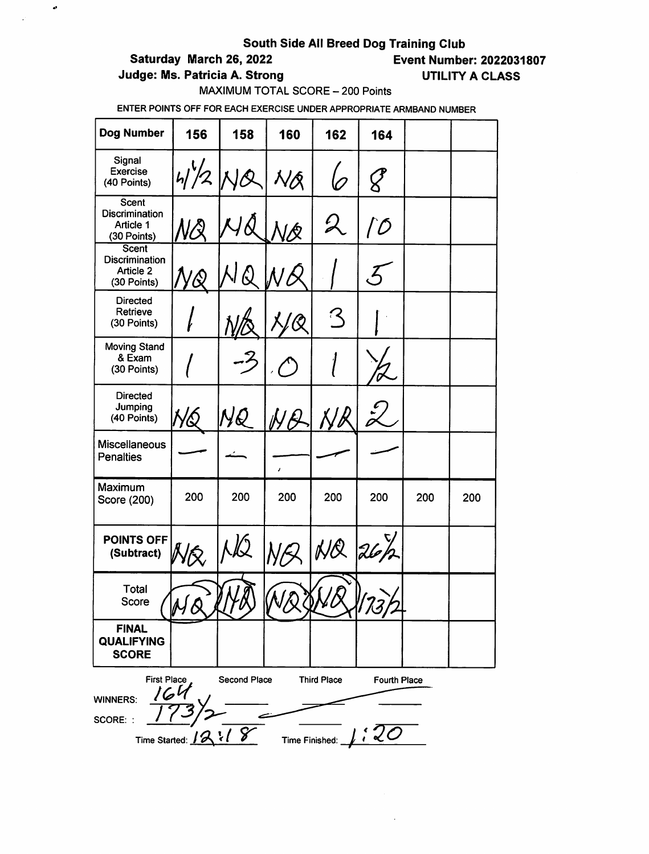$\bullet$ 

 $\mathcal{L}$ 

Saturday March 26, 2022 Event Number: 2022031807

Judge: Ms. Patricia A. Strong UTILITY A CLASS

MAXIMUM TOTAL SCORE - 200 Points

| Dog Number                                                        | 156              | 158                 | 160          | 162                                    | 164                         |     |     |
|-------------------------------------------------------------------|------------------|---------------------|--------------|----------------------------------------|-----------------------------|-----|-----|
| Signal<br>Exercise<br>(40 Points)                                 | 4/2              |                     | VÁ           |                                        |                             |     |     |
| <b>Scent</b><br><b>Discrimination</b><br>Article 1<br>(30 Points) |                  |                     | ହ            | $\mathcal{Q}$                          | $\mathcal{D}$               |     |     |
| <b>Scent</b><br><b>Discrimination</b><br>Article 2<br>(30 Points) |                  |                     |              |                                        |                             |     |     |
| <b>Directed</b><br>Retrieve<br>(30 Points)                        |                  |                     |              | ⊱ ً                                    |                             |     |     |
| <b>Moving Stand</b><br>& Exam<br>(30 Points)                      |                  |                     |              |                                        |                             |     |     |
| <b>Directed</b><br>Jumping<br>(40 Points)                         |                  |                     |              |                                        |                             |     |     |
| <b>Miscellaneous</b><br><b>Penalties</b>                          |                  |                     | J.           |                                        |                             |     |     |
| Maximum<br>Score (200)                                            | 200              | 200                 | 200          | 200                                    | 200                         | 200 | 200 |
| <b>POINTS OFF</b><br>(Subtract)                                   | Wŕ.              |                     |              | NQ                                     | 26h                         |     |     |
| Total<br>score                                                    |                  | $\mathcal{Y}$       | ' P<br>WOQOO |                                        | 173,                        |     |     |
| <b>FINAL</b><br><b>QUALIFYING</b><br><b>SCORE</b>                 |                  |                     |              |                                        |                             |     |     |
| <b>First Place</b><br>16 Y<br><b>WINNERS:</b><br>SCORE: :         | Time Started: 12 | Second Place<br>218 |              | <b>Third Place</b><br>Time Finished: _ | <b>Fourth Place</b><br>: 20 |     |     |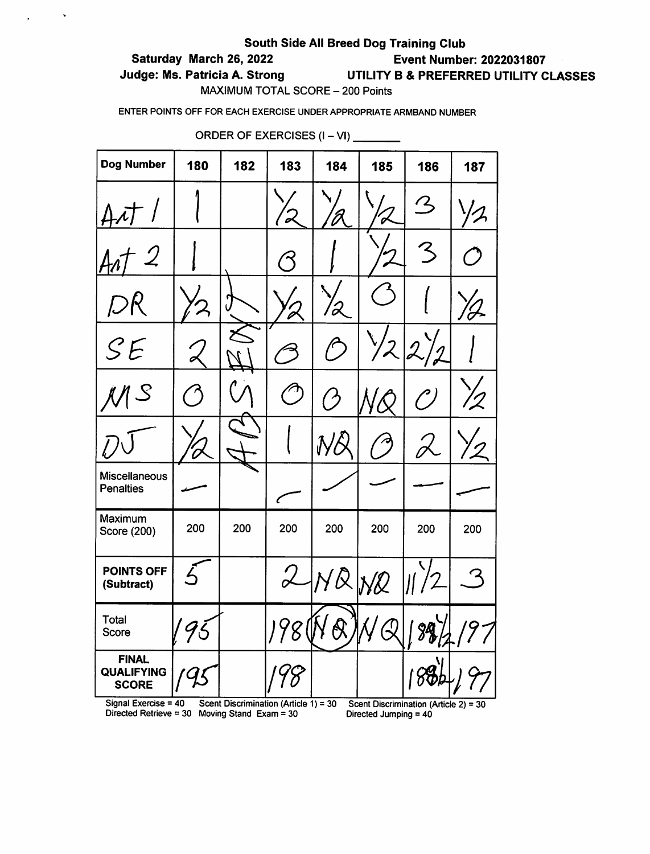### Saturday March 26, 2022 Event Number: 2022031807

 $\mathcal{L}^{\text{max}}$  and  $\mathcal{L}^{\text{max}}$ 

# Judge: Ms. Patricia A. Strong UTILITY B & PREFERRED UTILITY CLASSES

MAXIMUM TOTAL SCORE - 200 Points

ENTER POINTS OFF FOR EACH EXERCISE UNDER APPROPRIATE ARMBAND NUMBER

| <b>Dog Number</b>                                              | 180      | 182 | 183        | 184                        | 185                      | 186                         | 187 |
|----------------------------------------------------------------|----------|-----|------------|----------------------------|--------------------------|-----------------------------|-----|
|                                                                |          |     |            |                            |                          | $\mathcal{L}_{\mathcal{L}}$ |     |
|                                                                |          |     |            |                            |                          | $\mathcal{Z}$               |     |
| DR                                                             |          |     |            |                            |                          |                             |     |
| SE                                                             |          |     |            | $\subset$                  | $\overline{2}$           | $\mathcal{L}$<br>2          |     |
|                                                                |          |     | $\sqrt{1}$ | (ク                         |                          | $\mathcal{C}\mathcal{F}$    |     |
|                                                                |          |     |            | $\boldsymbol{\mathcal{N}}$ |                          |                             |     |
| <b>Miscellaneous</b><br><b>Penalties</b>                       |          |     | ∕          |                            |                          |                             |     |
| Maximum<br>Score (200)                                         | 200      | 200 | 200        | 200                        | 200                      | 200                         | 200 |
| POINTS OFF<br>(Subtract)                                       | $\angle$ |     |            | 2/NA/N2                    |                          |                             | 3   |
| Total<br>Score                                                 | 95       |     | 198        |                            | $\overline{\mathcal{Q}}$ |                             |     |
| <b>FINAL</b><br><b>QUALIFYING</b><br><b>SCORE</b><br>Olanal Pr |          |     |            |                            |                          |                             |     |

ORDER OF EXERCISES  $(I - VI)$ 

Signal Exercise = 40 Scent Discrimination (Article 1) = 30 Scent Discrimination (Article 2) = 30 Directed Retrieve = 30 Moving Stand Exam = 30 Directed Jumping = 40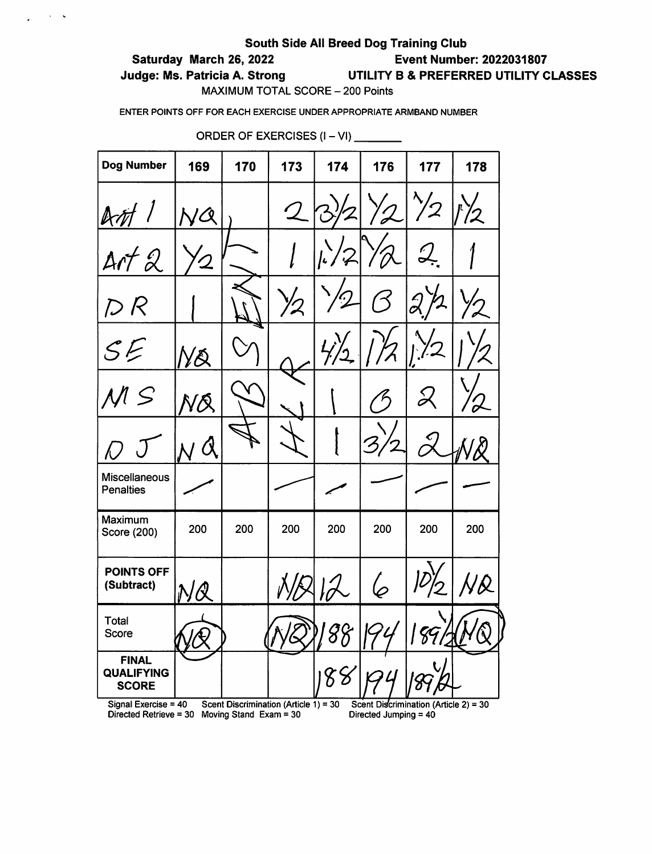### Saturday March 26, 2022 Event Number: 2022031807

 $\frac{1}{2}$  ,  $\frac{1}{2}$  ,  $\frac{1}{2}$  ,  $\frac{1}{2}$ 

Judge: Ms. Patricia A. Strong UTILITY B & PREFERRED UTILITY CLASSES

MAXIMUM TOTAL SCORE - 200 Points

ENTER POINTS OFF FOR EACH EXERCISE UNDER APPROPRIATE ARMBAND NUMBER

| Dog Number                                        | 169           | 170                    | 173                                                       | 174           | 176                   | 177                                     | 178 |
|---------------------------------------------------|---------------|------------------------|-----------------------------------------------------------|---------------|-----------------------|-----------------------------------------|-----|
| AM                                                | IQ            |                        | $\mathcal{Q}% _{M_{1},M_{2}}^{\alpha,\beta}(\varepsilon)$ |               | $\sqrt{2}$            | $\frac{1}{2}$                           | パク  |
| ArtQ                                              | $\mathcal{Q}$ |                        |                                                           | $k^{2}$       |                       | <u>Д.</u>                               |     |
| D R                                               |               |                        | $\mathcal{V}$                                             | $\mathcal{D}$ |                       | $\partial\!\!\!\!\!\partial$            |     |
| ${\cal S} {\cal E}$                               | ŊŔ            |                        |                                                           | <u>ک</u>      |                       |                                         |     |
| $\leq$                                            | ÑŔ            |                        |                                                           |               | $\zeta$               |                                         |     |
| N                                                 | ${\cal O}$    |                        |                                                           |               |                       |                                         |     |
| <b>Miscellaneous</b><br><b>Penalties</b>          |               |                        |                                                           |               |                       |                                         |     |
| Maximum<br>Score (200)                            | 200           | 200                    | 200                                                       | 200           | 200                   | 200                                     | 200 |
| <b>POINTS OFF</b><br>(Subtract)                   | NŰ            |                        |                                                           |               |                       |                                         |     |
| Total<br>Score                                    |               |                        | $\sim$                                                    |               |                       | 18912                                   | /r  |
| <b>FINAL</b><br><b>QUALIFYING</b><br><b>SCORE</b> |               |                        |                                                           | 88            |                       |                                         |     |
| Signal Exercise = $40$<br>Directed Retrieve = 30  |               | Moving Stand Exam = 30 | Scent Discrimination (Article 1) = 30                     |               | Directed Jumping = 40 | Scent Discrimination (Article 2) = $30$ |     |

ORDER OF EXERCISES (I - VI)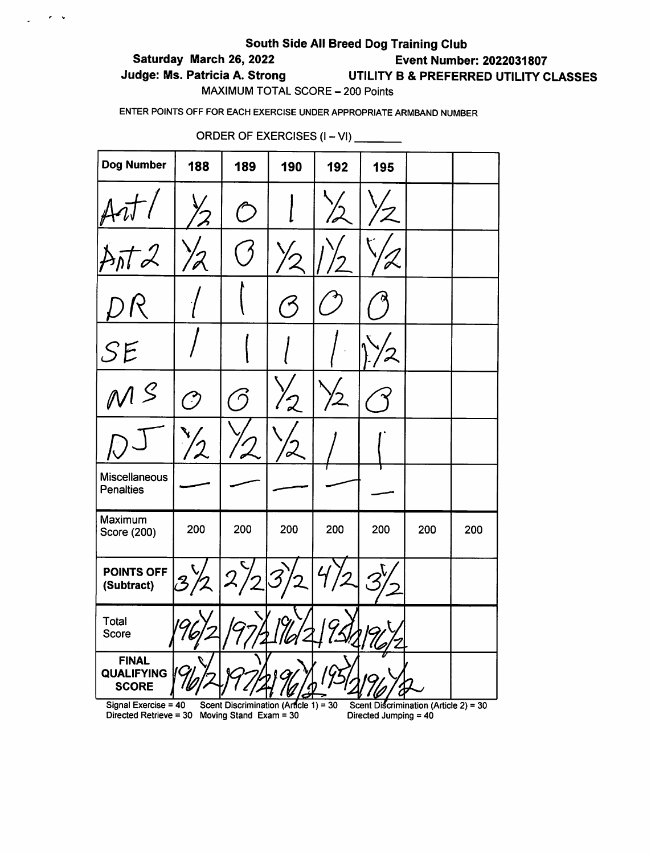### Saturday March 26, 2022 Event Number: 2022031807

 $\frac{1}{2}$  ,  $\frac{1}{2}$  ,  $\frac{1}{2}$ 

## Judge: Ms. Patricia A. Strong UTILITY B & PREFERRED UTILITY CLASSES

MAXIMUM TOTAL SCORE - 200 Points

ENTER POINTS OFF FOR EACH EXERCISE UNDER APPROPRIATE ARMBAND NUMBER

| <b>Dog Number</b>                                                     | 188                                                       | 189                                   | 190                      | 192 | 195                                                            |     |     |
|-----------------------------------------------------------------------|-----------------------------------------------------------|---------------------------------------|--------------------------|-----|----------------------------------------------------------------|-----|-----|
|                                                                       |                                                           |                                       |                          |     |                                                                |     |     |
|                                                                       | '2                                                        |                                       |                          |     |                                                                |     |     |
|                                                                       |                                                           |                                       |                          |     |                                                                |     |     |
| SE                                                                    |                                                           |                                       |                          |     |                                                                |     |     |
| $\eta$ ${\cal S}$                                                     | دبر<br>ر                                                  | $\epsilon$                            | $\overline{\mathcal{L}}$ |     |                                                                |     |     |
|                                                                       | $\mathcal{Z}% _{M_{1},M_{2}}^{\prime\prime}(\varepsilon)$ |                                       |                          |     |                                                                |     |     |
| Miscellaneous<br><b>Penalties</b>                                     |                                                           |                                       |                          |     |                                                                |     |     |
| Maximum<br>Score (200)                                                | 200                                                       | 200                                   | 200                      | 200 | 200                                                            | 200 | 200 |
| POINTS OFF<br>(Subtract)                                              |                                                           | $\mathcal{Q}$                         |                          |     |                                                                |     |     |
| Total<br>Score                                                        |                                                           |                                       | 19/<br>l  l <i>o</i>     |     |                                                                |     |     |
| <b>FINAL</b><br><b>QUALIFYING</b><br><b>SCORE</b>                     |                                                           |                                       |                          |     |                                                                |     |     |
| Signal Exercise = 40<br>Directed Retrieve = 30 Moving Stand Exam = 30 |                                                           | Scent Discrimination (Article 1) = 30 |                          |     | Scent Discrimination (Article 2) = 30<br>Directed Jumping = 40 |     |     |

ORDER OF EXERCISES (I – VI) \_\_\_\_\_\_\_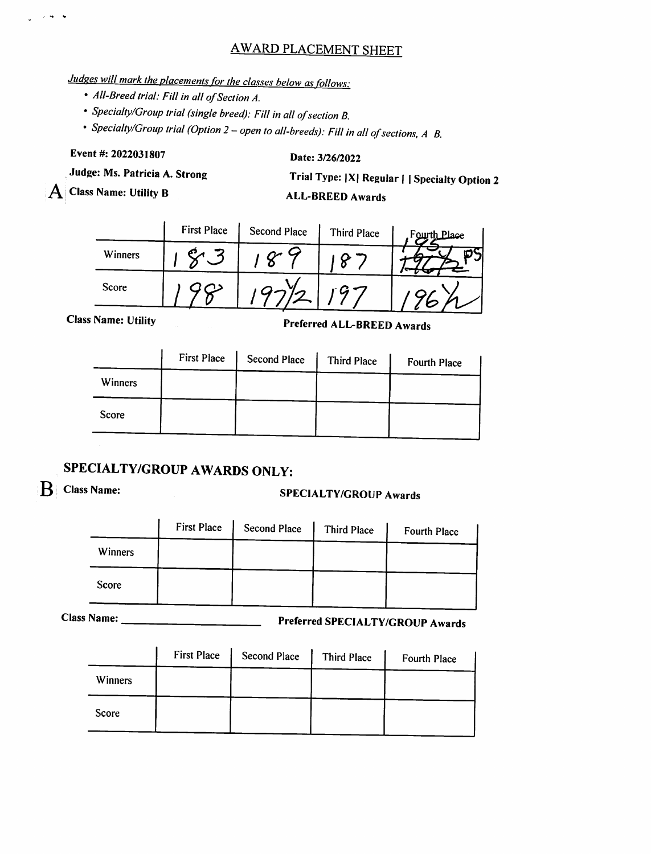## AWARD PLACEMENT SHEET

# Judges will mark the placements for the classes below as follows:

- All-Breed trial: Fill in all of Section A.
- Specialty/Group trial (single breed): Fill in all of section B.
- Specialty/Group trial (Option 2 open to all-breeds): Fill in all of sections, A B.

### Event#: 2022031807

نوار المراري

### Date: 3/26/2022

Judge: Ms. Patricia A. Strong

Class Name: Utility B

Trial Type: |X| Regular | | Specialty Option 2

### ALL-BREED Awards

|         | <b>First Place</b> | <b>Second Place</b> | Third Place | Fourth Place |
|---------|--------------------|---------------------|-------------|--------------|
| Winners |                    |                     |             |              |
| Score   |                    |                     |             |              |

Class Name: Utility

Preierred ALL-BREED Awards

| Winners<br>Score | <b>First Place</b> | <b>Second Place</b> | <b>Third Place</b> | Fourth Place |
|------------------|--------------------|---------------------|--------------------|--------------|
|                  |                    |                     |                    |              |
|                  |                    |                     |                    |              |

# SPECIALTY/GROUP AWARDS ONLY:

# B Class Name: SPECIALTY/GROUP Awards

|         | <b>First Place</b> | Second Place | Third Place | Fourth Place |
|---------|--------------------|--------------|-------------|--------------|
| Winners |                    |              |             |              |
| Score   |                    |              |             |              |

Class Name: Preferred SPECIALTY/GROUP Awards

|         | <b>First Place</b> | <b>Second Place</b> | Third Place | Fourth Place |
|---------|--------------------|---------------------|-------------|--------------|
| Winners |                    |                     |             |              |
| Score   |                    |                     |             |              |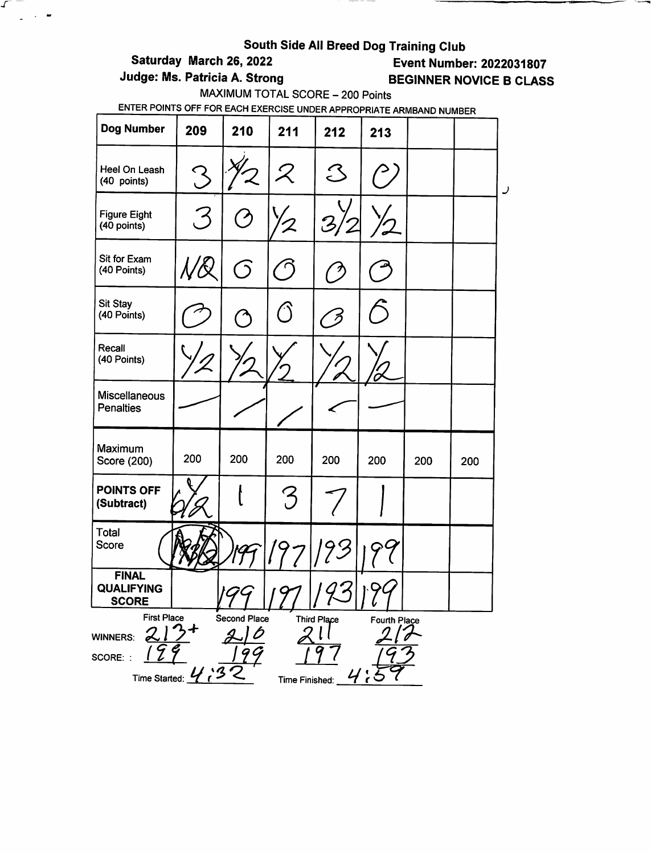# South Side All Breed Dog Training Club<br>Event Numbe (Saturday March 26, 2022

\_\_\_\_\_

 $\mathcal{F} =$ 

 $\Delta \sim 10^{-12}$ 

**Event Number: 2022031807** 

# Judge: Ms. Patricia A. Strong BEGINNER NOVICE B CLASS

MAXIMUM TOTAL SCORE - 200 Points

| <b>Dog Number</b>                                                                                                                                 | 209 | 210 | 211                      | 212                                                       | 213 |     |     |   |  |
|---------------------------------------------------------------------------------------------------------------------------------------------------|-----|-----|--------------------------|-----------------------------------------------------------|-----|-----|-----|---|--|
| Heel On Leash<br>(40 points)                                                                                                                      | Z   |     | ${\cal Z}$               | $\mathcal{S}% _{M_{1},M_{2}}^{\alpha,\beta}(\varepsilon)$ |     |     |     | ر |  |
| <b>Figure Eight</b><br>(40 points)                                                                                                                | , 3 |     |                          |                                                           |     |     |     |   |  |
| Sit for Exam<br>(40 Points)                                                                                                                       |     | G)  | $\overline{\phantom{a}}$ |                                                           |     |     |     |   |  |
| <b>Sit Stay</b><br>(40 Points)                                                                                                                    |     |     |                          |                                                           |     |     |     |   |  |
| Recall<br>(40 Points)                                                                                                                             |     |     |                          |                                                           |     |     |     |   |  |
| <b>Miscellaneous</b><br><b>Penalties</b>                                                                                                          |     |     |                          |                                                           |     |     |     |   |  |
| Maximum<br>Score (200)                                                                                                                            | 200 | 200 | 200                      | 200                                                       | 200 | 200 | 200 |   |  |
| <b>POINTS OFF</b><br>(Subtract)                                                                                                                   |     |     | $\bm{\mathcal{S}}$       |                                                           |     |     |     |   |  |
| Total<br><b>Score</b>                                                                                                                             |     |     |                          |                                                           |     |     |     |   |  |
| <b>FINAL</b><br><b>QUALIFYING</b><br><b>SCORE</b>                                                                                                 |     | 199 |                          |                                                           |     |     |     |   |  |
| <b>First Place</b><br>Second Place<br>Third Place<br>Fourth Place<br><b>WINNERS:</b><br>SCORE: :<br>Time Started: $\frac{U}{I}$<br>Time Finished: |     |     |                          |                                                           |     |     |     |   |  |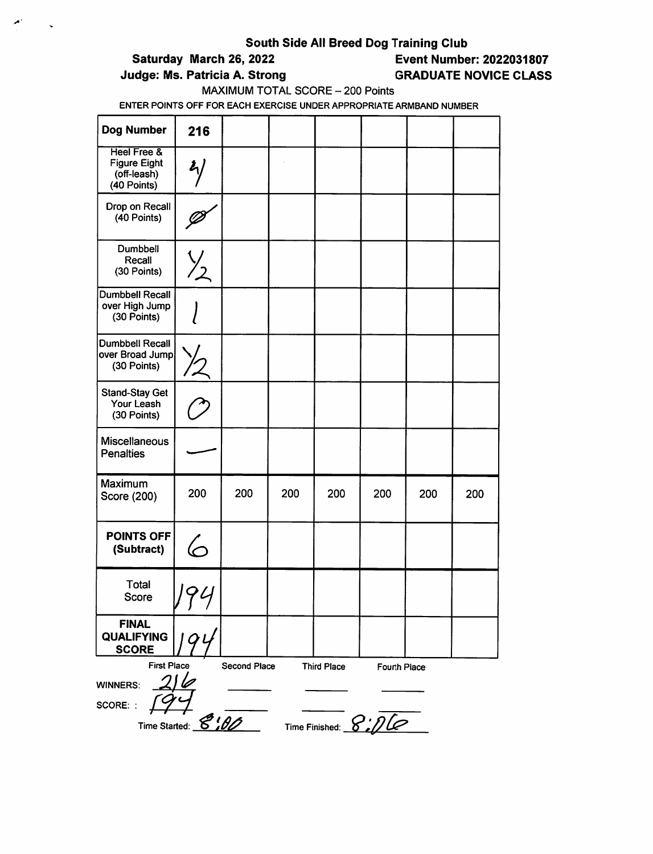### Saturday March 26, 2022 Event Number: 2022031807

### Judge: Ms. Patricia A. Strong GRADUATE NOVICE CLASS

### MAXIMUM TOTAL SCORE - 200 Points

| <b>Dog Number</b>                                                               | 216                  |     |     |     |     |     |     |  |
|---------------------------------------------------------------------------------|----------------------|-----|-----|-----|-----|-----|-----|--|
| <b>Heel Free &amp;</b><br><b>Figure Eight</b><br>(off-leash)<br>(40 Points)     | $\frac{2}{\sqrt{2}}$ |     |     |     |     |     |     |  |
| Drop on Recall<br>(40 Points)                                                   |                      |     |     |     |     |     |     |  |
| Dumbbell<br>Recall<br>(30 Points)                                               | $\frac{1}{2}$        |     |     |     |     |     |     |  |
| <b>Dumbbell Recall</b><br>over High Jump<br>(30 Points)                         |                      |     |     |     |     |     |     |  |
| <b>Dumbbell Recall</b><br>over Broad Jump<br>(30 Points)                        |                      |     |     |     |     |     |     |  |
| <b>Stand-Stay Get</b><br>Your Leash<br>(30 Points)                              |                      |     |     |     |     |     |     |  |
| <b>Miscellaneous</b><br><b>Penalties</b>                                        |                      |     |     |     |     |     |     |  |
| Maximum<br>Score (200)                                                          | 200                  | 200 | 200 | 200 | 200 | 200 | 200 |  |
| <b>POINTS OFF</b><br>(Subtract)                                                 | 6                    |     |     |     |     |     |     |  |
| <b>Total</b><br>Score                                                           | 94<br>7              |     |     |     |     |     |     |  |
| <b>FINAL</b><br>QUALIFYING<br><b>SCORE</b>                                      |                      |     |     |     |     |     |     |  |
| <b>First Place</b><br>Second Place<br><b>Third Place</b><br><b>Fourth Place</b> |                      |     |     |     |     |     |     |  |
| <b>WINNERS:</b>                                                                 |                      |     |     |     |     |     |     |  |
| SCORE: :                                                                        |                      |     |     |     |     |     |     |  |
| Time Finished: $8:2$<br>Time Started: 8:00                                      |                      |     |     |     |     |     |     |  |